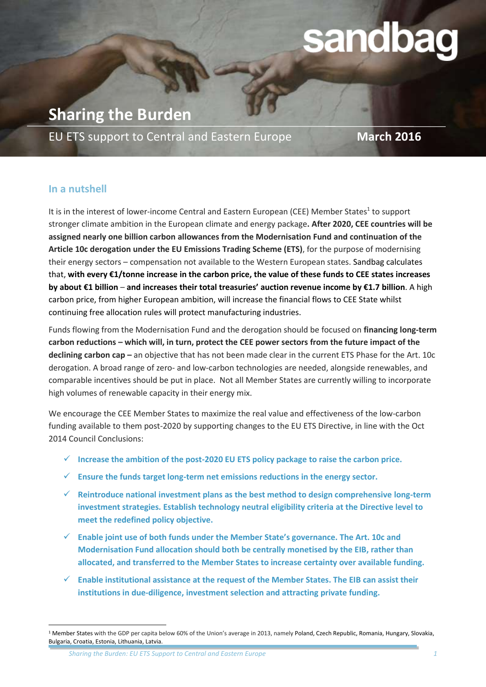# sandbag

**Sharing the Burden**

EU ETS support to Central and Eastern Europe **March 2016**

## **In a nutshell**

 $\ddot{\phantom{a}}$ 

It is in the interest of lower-income Central and Eastern European (CEE) Member States<sup>1</sup> to support stronger climate ambition in the European climate and energy package**. After 2020, CEE countries will be assigned nearly one billion carbon allowances from the Modernisation Fund and continuation of the Article 10c derogation under the EU Emissions Trading Scheme (ETS)**, for the purpose of modernising their energy sectors – compensation not available to the Western European states. Sandbag calculates that, **with every €1/tonne increase in the carbon price, the value of these funds to CEE states increases by about €1 billion** – **and increases their total treasuries' auction revenue income by €1.7 billion**. A high carbon price, from higher European ambition, will increase the financial flows to CEE State whilst continuing free allocation rules will protect manufacturing industries.

Funds flowing from the Modernisation Fund and the derogation should be focused on **financing long-term carbon reductions – which will, in turn, protect the CEE power sectors from the future impact of the declining carbon cap –** an objective that has not been made clear in the current ETS Phase for the Art. 10c derogation. A broad range of zero- and low-carbon technologies are needed, alongside renewables, and comparable incentives should be put in place. Not all Member States are currently willing to incorporate high volumes of renewable capacity in their energy mix.

We encourage the CEE Member States to maximize the real value and effectiveness of the low-carbon funding available to them post-2020 by supporting changes to the EU ETS Directive, in line with the Oct 2014 Council Conclusions:

- **Increase the ambition of the post-2020 EU ETS policy package to raise the carbon price.**
- **Ensure the funds target long-term net emissions reductions in the energy sector.**
- **Reintroduce national investment plans as the best method to design comprehensive long-term investment strategies. Establish technology neutral eligibility criteria at the Directive level to meet the redefined policy objective.**
- **Enable joint use of both funds under the Member State's governance. The Art. 10c and Modernisation Fund allocation should both be centrally monetised by the EIB, rather than allocated, and transferred to the Member States to increase certainty over available funding.**
- **Enable institutional assistance at the request of the Member States. The EIB can assist their institutions in due-diligence, investment selection and attracting private funding.**

*Sharing the Burden: EU ETS Support to Central and Eastern Europe 1*

<sup>&</sup>lt;sup>1</sup> Member States with the GDP per capita below 60% of the Union's average in 2013, namely Poland, Czech Republic, Romania, Hungary, Slovakia, Bulgaria, Croatia, Estonia, Lithuania, Latvia.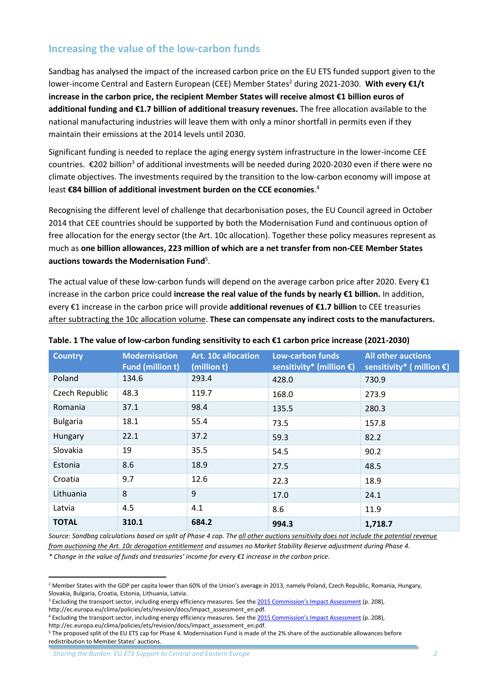# **Increasing the value of the low-carbon funds**

Sandbag has analysed the impact of the increased carbon price on the EU ETS funded support given to the lower-income Central and Eastern European (CEE) Member States<sup>2</sup> during 2021-2030. With every €1/t **increase in the carbon price, the recipient Member States will receive almost €1 billion euros of additional funding and €1.7 billion of additional treasury revenues.** The free allocation available to the national manufacturing industries will leave them with only a minor shortfall in permits even if they maintain their emissions at the 2014 levels until 2030.

Significant funding is needed to replace the aging energy system infrastructure in the lower-income CEE countries. €202 billion<sup>3</sup> of additional investments will be needed during 2020-2030 even if there were no climate objectives. The investments required by the transition to the low-carbon economy will impose at least **€84 billion of additional investment burden on the CCE economies**. 4

Recognising the different level of challenge that decarbonisation poses, the EU Council agreed in October 2014 that CEE countries should be supported by both the Modernisation Fund and continuous option of free allocation for the energy sector (the Art. 10c allocation). Together these policy measures represent as much as **one billion allowances, 223 million of which are a net transfer from non-CEE Member States** auctions towards the Modernisation Fund<sup>5</sup>.

The actual value of these low-carbon funds will depend on the average carbon price after 2020. Every  $\epsilon_1$ increase in the carbon price could **increase the real value of the funds by nearly €1 billion.** In addition, every €1 increase in the carbon price will provide **additional revenues of €1.7 billion** to CEE treasuries after subtracting the 10c allocation volume. **These can compensate any indirect costs to the manufacturers.**

| <b>Country</b>  | <b>Modernisation</b><br><b>Fund (million t)</b> | <b>Art. 10c allocation</b><br>(million t) | Low-carbon funds<br>sensitivity* (million $\epsilon$ ) | <b>All other auctions</b><br>sensitivity* (million $\epsilon$ ) |
|-----------------|-------------------------------------------------|-------------------------------------------|--------------------------------------------------------|-----------------------------------------------------------------|
| Poland          | 134.6                                           | 293.4                                     | 428.0                                                  | 730.9                                                           |
| Czech Republic  | 48.3                                            | 119.7                                     | 168.0                                                  | 273.9                                                           |
| Romania         | 37.1                                            | 98.4                                      | 135.5                                                  | 280.3                                                           |
| <b>Bulgaria</b> | 18.1                                            | 55.4                                      | 73.5                                                   | 157.8                                                           |
| Hungary         | 22.1                                            | 37.2                                      | 59.3                                                   | 82.2                                                            |
| Slovakia        | 19                                              | 35.5                                      | 54.5                                                   | 90.2                                                            |
| Estonia         | 8.6                                             | 18.9                                      | 27.5                                                   | 48.5                                                            |
| Croatia         | 9.7                                             | 12.6                                      | 22.3                                                   | 18.9                                                            |
| Lithuania       | 8                                               | 9                                         | 17.0                                                   | 24.1                                                            |
| Latvia          | 4.5                                             | 4.1                                       | 8.6                                                    | 11.9                                                            |
| <b>TOTAL</b>    | 310.1                                           | 684.2                                     | 994.3                                                  | 1,718.7                                                         |

#### **Table. 1 The value of low-carbon funding sensitivity to each €1 carbon price increase (2021-2030)**

*Source: Sandbag calculations based on split of Phase 4 cap. The all other auctions sensitivity does not include the potential revenue from auctioning the Art. 10c derogation entitlement and assumes no Market Stability Reserve adjustment during Phase 4.*

*\* Change in the value of funds and treasuries' income for every €1 increase in the carbon price.*

<sup>&</sup>lt;sup>2</sup> Member States with the GDP per capita lower than 60% of the Union's average in 2013, namely Poland, Czech Republic, Romania, Hungary, Slovakia, Bulgaria, Croatia, Estonia, Lithuania, Latvia.

<sup>&</sup>lt;sup>3</sup> Excluding the transport sector, including energy efficiency measures. See the [2015 Commission's Impact Assessment](http://ec.europa.eu/clima/policies/ets/revision/docs/impact_assessment_en.pdf) (p. 208), http://ec.europa.eu/clima/policies/ets/revision/docs/impact\_assessment\_en.pdf.

<sup>4</sup> Excluding the transport sector, including energy efficiency measures. See the [2015 Commission's Impact Assessment](http://ec.europa.eu/clima/policies/ets/revision/docs/impact_assessment_en.pdf) (p. 208),

http://ec.europa.eu/clima/policies/ets/revision/docs/impact\_assessment\_en.pdf.

<sup>5</sup> The proposed split of the EU ETS cap for Phase 4. Modernisation Fund is made of the 2% share of the auctionable allowances before redistribution to Member States' auctions.

*Sharing the Burden: EU ETS Support to Central and Eastern Europe 2*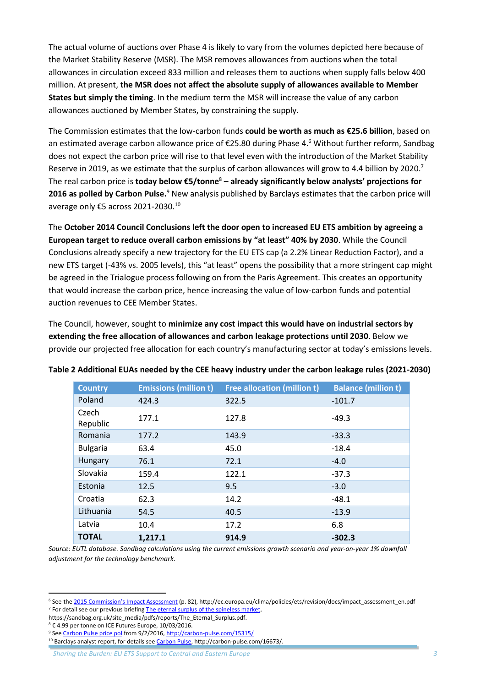The actual volume of auctions over Phase 4 is likely to vary from the volumes depicted here because of the Market Stability Reserve (MSR). The MSR removes allowances from auctions when the total allowances in circulation exceed 833 million and releases them to auctions when supply falls below 400 million. At present, **the MSR does not affect the absolute supply of allowances available to Member States but simply the timing**. In the medium term the MSR will increase the value of any carbon allowances auctioned by Member States, by constraining the supply.

The Commission estimates that the low-carbon funds **could be worth as much as €25.6 billion**, based on an estimated average carbon allowance price of €25.80 during Phase 4.<sup>6</sup> Without further reform, Sandbag does not expect the carbon price will rise to that level even with the introduction of the Market Stability Reserve in 2019, as we estimate that the surplus of carbon allowances will grow to 4.4 billion by 2020.<sup>7</sup> The real carbon price is **today below €5/tonne**<sup>8</sup> **– already significantly below analysts' projections for**  2016 as polled by Carbon Pulse.<sup>9</sup> New analysis published by Barclays estimates that the carbon price will average only €5 across 2021-2030.<sup>10</sup>

The **October 2014 Council Conclusions left the door open to increased EU ETS ambition by agreeing a European target to reduce overall carbon emissions by "at least" 40% by 2030**. While the Council Conclusions already specify a new trajectory for the EU ETS cap (a 2.2% Linear Reduction Factor), and a new ETS target (-43% vs. 2005 levels), this "at least" opens the possibility that a more stringent cap might be agreed in the Trialogue process following on from the Paris Agreement. This creates an opportunity that would increase the carbon price, hence increasing the value of low-carbon funds and potential auction revenues to CEE Member States.

The Council, however, sought to **minimize any cost impact this would have on industrial sectors by extending the free allocation of allowances and carbon leakage protections until 2030**. Below we provide our projected free allocation for each country's manufacturing sector at today's emissions levels.

| <b>Country</b>    | <b>Emissions (million t)</b> | <b>Free allocation (million t)</b> | <b>Balance (million t)</b> |
|-------------------|------------------------------|------------------------------------|----------------------------|
| Poland            | 424.3                        | 322.5                              | $-101.7$                   |
| Czech<br>Republic | 177.1                        | 127.8                              | $-49.3$                    |
| Romania           | 177.2                        | 143.9                              | $-33.3$                    |
| <b>Bulgaria</b>   | 63.4                         | 45.0                               | $-18.4$                    |
| Hungary           | 76.1                         | 72.1                               | $-4.0$                     |
| Slovakia          | 159.4                        | 122.1                              | $-37.3$                    |
| Estonia           | 12.5                         | 9.5                                | $-3.0$                     |
| Croatia           | 62.3                         | 14.2                               | $-48.1$                    |
| Lithuania         | 54.5                         | 40.5                               | $-13.9$                    |
| Latvia            | 10.4                         | 17.2                               | 6.8                        |
| <b>TOTAL</b>      | 1,217.1                      | 914.9                              | $-302.3$                   |

#### **Table 2 Additional EUAs needed by the CEE heavy industry under the carbon leakage rules (2021-2030)**

*Source: EUTL database. Sandbag calculations using the current emissions growth scenario and year-on-year 1% downfall adjustment for the technology benchmark.*

<sup>&</sup>lt;sup>6</sup> See the [2015 Commission's Impact Assessment](http://ec.europa.eu/clima/policies/ets/revision/docs/impact_assessment_en.pdf) (p. 82), http://ec.europa.eu/clima/policies/ets/revision/docs/impact\_assessment\_en.pdf <sup>7</sup> For detail see our previous briefin[g The eternal surplus of the spineless market,](https://sandbag.org.uk/site_media/pdfs/reports/The_Eternal_Surplus.pdf)

https://sandbag.org.uk/site\_media/pdfs/reports/The\_Eternal\_Surplus.pdf.

<sup>8</sup> € 4.99 per tonne on ICE Futures Europe, 10/03/2016.

<sup>&</sup>lt;sup>9</sup> Se[e Carbon Pulse price pol](http://carbon-pulse.com/15315/) from 9/2/2016[, http://carbon-pulse.com/15315/](http://carbon-pulse.com/15315/)

<sup>&</sup>lt;sup>10</sup> Barclays analyst report, for details see [Carbon Pulse,](http://carbon-pulse.com/16673/) http://carbon-pulse.com/16673/.

*Sharing the Burden: EU ETS Support to Central and Eastern Europe 3*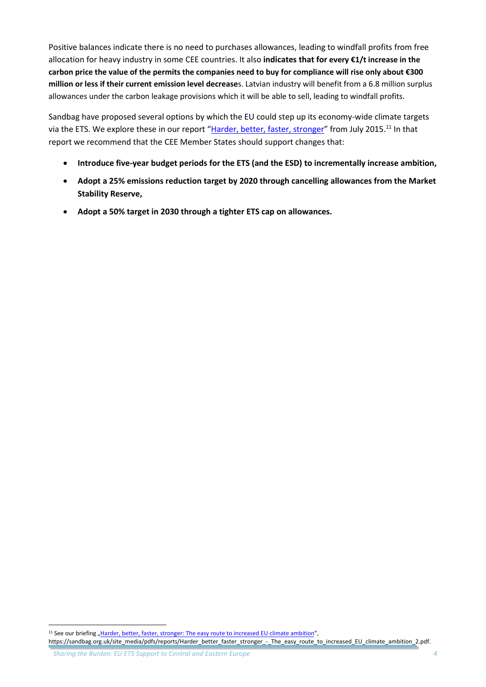Positive balances indicate there is no need to purchases allowances, leading to windfall profits from free allocation for heavy industry in some CEE countries. It also **indicates that for every €1/t increase in the carbon price the value of the permits the companies need to buy for compliance will rise only about €300 million or less if their current emission level decrease**s. Latvian industry will benefit from a 6.8 million surplus allowances under the carbon leakage provisions which it will be able to sell, leading to windfall profits.

Sandbag have proposed several options by which the EU could step up its economy-wide climate targets via the ETS. We explore these in our report "[Harder, better, faster, stronger](https://sandbag.org.uk/site_media/pdfs/reports/Harder_better_faster_stronger_-_The_easy_route_to_increased_EU_climate_ambition_2.pdf)" from July 2015.<sup>11</sup> In that report we recommend that the CEE Member States should support changes that:

- **Introduce five-year budget periods for the ETS (and the ESD) to incrementally increase ambition,**
- **Adopt a 25% emissions reduction target by 2020 through cancelling allowances from the Market Stability Reserve,**
- **Adopt a 50% target in 2030 through a tighter ETS cap on allowances.**

 $\ddot{\phantom{a}}$ 

<sup>&</sup>lt;sup>11</sup> See our briefing "Harder, better, faster, stronger: The [easy route to increased EU climate ambition](https://sandbag.org.uk/site_media/pdfs/reports/Harder_better_faster_stronger_-_The_easy_route_to_increased_EU_climate_ambition_2.pdf)", https://sandbag.org.uk/site\_media/pdfs/reports/Harder\_better\_faster\_stronger\_-\_The\_easy\_route\_to\_increased\_EU\_climate\_ambition\_2.pdf.

*Sharing the Burden: EU ETS Support to Central and Eastern Europe 4*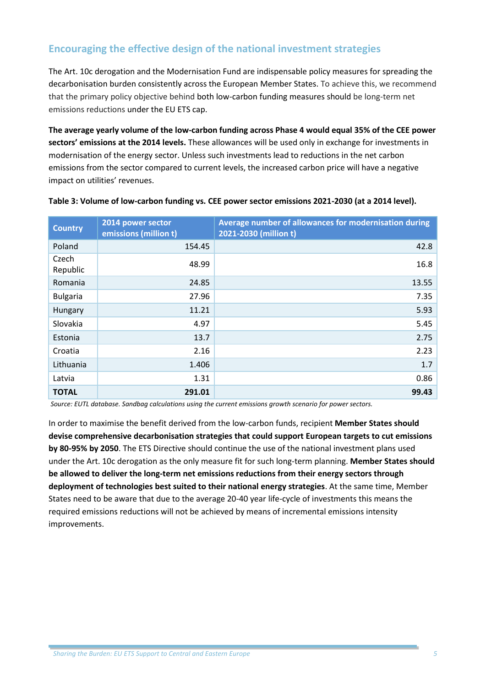# **Encouraging the effective design of the national investment strategies**

The Art. 10c derogation and the Modernisation Fund are indispensable policy measures for spreading the decarbonisation burden consistently across the European Member States. To achieve this, we recommend that the primary policy objective behind both low-carbon funding measures should be long-term net emissions reductions under the EU ETS cap.

**The average yearly volume of the low-carbon funding across Phase 4 would equal 35% of the CEE power sectors' emissions at the 2014 levels.** These allowances will be used only in exchange for investments in modernisation of the energy sector. Unless such investments lead to reductions in the net carbon emissions from the sector compared to current levels, the increased carbon price will have a negative impact on utilities' revenues.

| <b>Country</b>    | 2014 power sector<br>emissions (million t) | Average number of allowances for modernisation during<br>2021-2030 (million t) |
|-------------------|--------------------------------------------|--------------------------------------------------------------------------------|
| Poland            | 154.45                                     | 42.8                                                                           |
| Czech<br>Republic | 48.99                                      | 16.8                                                                           |
| Romania           | 24.85                                      | 13.55                                                                          |
| <b>Bulgaria</b>   | 27.96                                      | 7.35                                                                           |
| Hungary           | 11.21                                      | 5.93                                                                           |
| Slovakia          | 4.97                                       | 5.45                                                                           |
| Estonia           | 13.7                                       | 2.75                                                                           |
| Croatia           | 2.16                                       | 2.23                                                                           |
| Lithuania         | 1.406                                      | 1.7                                                                            |
| Latvia            | 1.31                                       | 0.86                                                                           |
| <b>TOTAL</b>      | 291.01                                     | 99.43                                                                          |

#### **Table 3: Volume of low-carbon funding vs. CEE power sector emissions 2021-2030 (at a 2014 level).**

*Source: EUTL database. Sandbag calculations using the current emissions growth scenario for power sectors.*

In order to maximise the benefit derived from the low-carbon funds, recipient **Member States should devise comprehensive decarbonisation strategies that could support European targets to cut emissions by 80-95% by 2050**. The ETS Directive should continue the use of the national investment plans used under the Art. 10c derogation as the only measure fit for such long-term planning. **Member States should be allowed to deliver the long-term net emissions reductions from their energy sectors through deployment of technologies best suited to their national energy strategies**. At the same time, Member States need to be aware that due to the average 20-40 year life-cycle of investments this means the required emissions reductions will not be achieved by means of incremental emissions intensity improvements.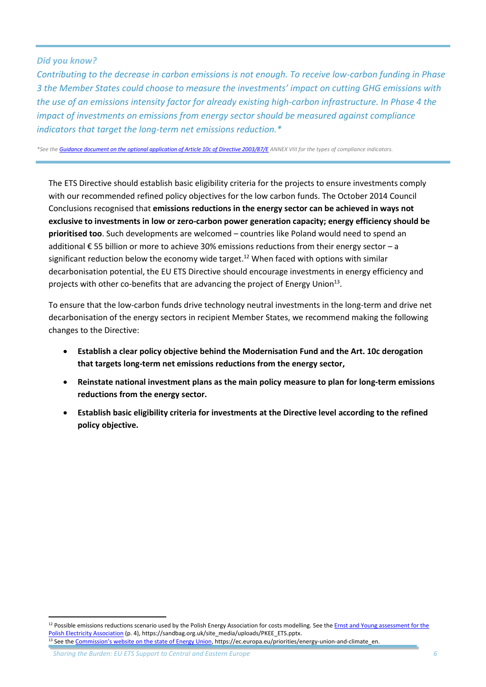#### *Did you know?*

*Contributing to the decrease in carbon emissions is not enough. To receive low-carbon funding in Phase 3 the Member States could choose to measure the investments' impact on cutting GHG emissions with the use of an emissions intensity factor for already existing high-carbon infrastructure. In Phase 4 the impact of investments on emissions from energy sector should be measured against compliance indicators that target the long-term net emissions reduction.\**

*\*See th[e Guidance document on the optional application of Article 10c of Directive 2003/87/E](http://eur-lex.europa.eu/legal-content/EN/TXT/PDF/?uri=CELEX:52011XC0331(01)&from=EN) ANNEX VIII for the types of compliance indicators.*

The ETS Directive should establish basic eligibility criteria for the projects to ensure investments comply with our recommended refined policy objectives for the low carbon funds. The October 2014 Council Conclusions recognised that **emissions reductions in the energy sector can be achieved in ways not exclusive to investments in low or zero-carbon power generation capacity; energy efficiency should be prioritised too**. Such developments are welcomed – countries like Poland would need to spend an additional € 55 billion or more to achieve 30% emissions reductions from their energy sector – a significant reduction below the economy wide target.<sup>12</sup> When faced with options with similar decarbonisation potential, the EU ETS Directive should encourage investments in energy efficiency and projects with other co-benefits that are advancing the project of Energy Union<sup>13</sup>.

To ensure that the low-carbon funds drive technology neutral investments in the long-term and drive net decarbonisation of the energy sectors in recipient Member States, we recommend making the following changes to the Directive:

- **Establish a clear policy objective behind the Modernisation Fund and the Art. 10c derogation that targets long-term net emissions reductions from the energy sector,**
- **Reinstate national investment plans as the main policy measure to plan for long-term emissions reductions from the energy sector.**
- **Establish basic eligibility criteria for investments at the Directive level according to the refined policy objective.**

*Sharing the Burden: EU ETS Support to Central and Eastern Europe 6*

 $12$  Possible emissions reductions scenario used by the Polish Energy Association for costs modelling. See the Ernst and Young assessment for the [Polish Electricity Association](https://sandbag.org.uk/site_media/uploads/PKEE_ETS.pptx) (p. 4), https://sandbag.org.uk/site\_media/uploads/PKEE\_ETS.pptx. <sup>13</sup> See the [Commission's website on the state of Energy Union](https://ec.europa.eu/priorities/energy-union-and-climate_en), https://ec.europa.eu/priorities/energy-union-and-climate\_en.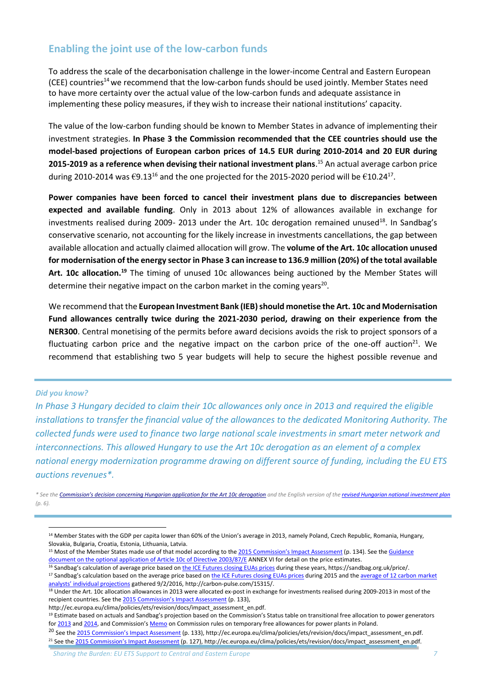## **Enabling the joint use of the low-carbon funds**

To address the scale of the decarbonisation challenge in the lower-income Central and Eastern European (CEE) countries<sup>14</sup> we recommend that the low-carbon funds should be used jointly. Member States need to have more certainty over the actual value of the low-carbon funds and adequate assistance in implementing these policy measures, if they wish to increase their national institutions' capacity.

The value of the low-carbon funding should be known to Member States in advance of implementing their investment strategies. **In Phase 3 the Commission recommended that the CEE countries should use the model-based projections of European carbon prices of 14.5 EUR during 2010-2014 and 20 EUR during 2015-2019 as a reference when devising their national investment plans**. <sup>15</sup> An actual average carbon price during 2010-2014 was  $\epsilon$ 9.13<sup>16</sup> and the one projected for the 2015-2020 period will be  $\epsilon$ 10.24<sup>17</sup>.

**Power companies have been forced to cancel their investment plans due to discrepancies between expected and available funding**. Only in 2013 about 12% of allowances available in exchange for investments realised during 2009- 2013 under the Art. 10c derogation remained unused<sup>18</sup>. In Sandbag's conservative scenario, not accounting for the likely increase in investments cancellations, the gap between available allocation and actually claimed allocation will grow. The **volume of the Art. 10c allocation unused for modernisation of the energy sector in Phase 3 can increase to 136.9 million (20%) of the total available Art. 10c allocation.<sup>19</sup>** The timing of unused 10c allowances being auctioned by the Member States will determine their negative impact on the carbon market in the coming years<sup>20</sup>.

We recommend that the **European Investment Bank (IEB) should monetise the Art. 10c and Modernisation Fund allowances centrally twice during the 2021-2030 period, drawing on their experience from the NER300**. Central monetising of the permits before award decisions avoids the risk to project sponsors of a fluctuating carbon price and the negative impact on the carbon price of the one-off auction<sup>21</sup>. We recommend that establishing two 5 year budgets will help to secure the highest possible revenue and

#### *Did you know?*

 $\overline{a}$ 

*In Phase 3 Hungary decided to claim their 10c allowances only once in 2013 and required the eligible installations to transfer the financial value of the allowances to the dedicated Monitoring Authority. The collected funds were used to finance two large national scale investments in smart meter network and interconnections. This allowed Hungary to use the Art 10c derogation as an element of a complex national energy modernization programme drawing on different source of funding, including the EU ETS auctions revenues\*.*

*\* See the [Commission's decision concerning Hungarian application for the Art 10c derogation](http://ec.europa.eu/clima/policies/ets/cap/auctioning/docs/hungary_com_en.pdf) and the English version of the [revised Hungarian national investment plan](http://klima.kormany.hu/download/2/f0/00000/Magyarorsz%C3%A1g%20%C3%A1ltal%20a%20Bizotts%C3%A1g%20r%C3%A9sz%C3%A9re%20beny%C3%BAjtott%20v%C3%A9gleges%20Nemzeti%20Terv.pdf) (p. 6).*

<sup>20</sup> See the [2015 Commission's Impact Assessment](http://ec.europa.eu/clima/policies/ets/revision/docs/impact_assessment_en.pdf) (p. 133), http://ec.europa.eu/clima/policies/ets/revision/docs/impact\_assessment\_en.pdf. <sup>21</sup> See the [2015 Commission's Impact Assessment](http://ec.europa.eu/clima/policies/ets/revision/docs/impact_assessment_en.pdf) (p. 127), http://ec.europa.eu/clima/policies/ets/revision/docs/impact\_assessment\_en.pdf.

<sup>&</sup>lt;sup>14</sup> Member States with the GDP per capita lower than 60% of the Union's average in 2013, namely Poland, Czech Republic, Romania, Hungary, Slovakia, Bulgaria, Croatia, Estonia, Lithuania, Latvia.

<sup>&</sup>lt;sup>15</sup> Most of the Member States made use of that model according to the [2015 Commission's Impact Assessment](http://ec.europa.eu/clima/policies/ets/revision/docs/impact_assessment_en.pdf) (p. 134). See the Guidance [document on the optional application of Article 10c of Directive 2003/87/E](http://eur-lex.europa.eu/legal-content/EN/TXT/PDF/?uri=CELEX:52011XC0331(01)&from=EN) ANNEX VI for detail on the price estimates.

<sup>&</sup>lt;sup>16</sup> Sandbag's calculation of average price based on [the ICE Futures closing EUAs prices](https://sandbag.org.uk/price/) during these years, https://sandbag.org.uk/price/.

<sup>&</sup>lt;sup>17</sup> Sandbag's calculation based on the average price based o[n the ICE Futures closing EUAs prices](https://sandbag.org.uk/price/) during 2015 and the average of 12 carbon market [analysts' individual projections](http://carbon-pulse.com/15315/) gathered 9/2/2016, http://carbon-pulse.com/15315/.

<sup>&</sup>lt;sup>18</sup> Under the Art. 10c allocation allowances in 2013 were allocated ex-post in exchange for investments realised during 2009-2013 in most of the recipient countries. See the [2015 Commission's Impact Assessment](http://ec.europa.eu/clima/policies/ets/revision/docs/impact_assessment_en.pdf) (p. 133),

http://ec.europa.eu/clima/policies/ets/revision/docs/impact\_assessment\_en.pdf.

<sup>&</sup>lt;sup>19</sup> Estimate based on actuals and Sandbag's projection based on the Commission's Status table on transitional free allocation to power generators for [2013](http://ec.europa.eu/clima/policies/ets/cap/auctioning/docs/process_overview_10c_en.pdf) an[d 2014](http://ec.europa.eu/clima/policies/ets/cap/auctioning/docs/process_overview_10c_2014_en.pdf), and Commission's [Memo](http://europa.eu/rapid/press-release_MEMO-12-561_en.htm) on Commission rules on temporary free allowances for power plants in Poland.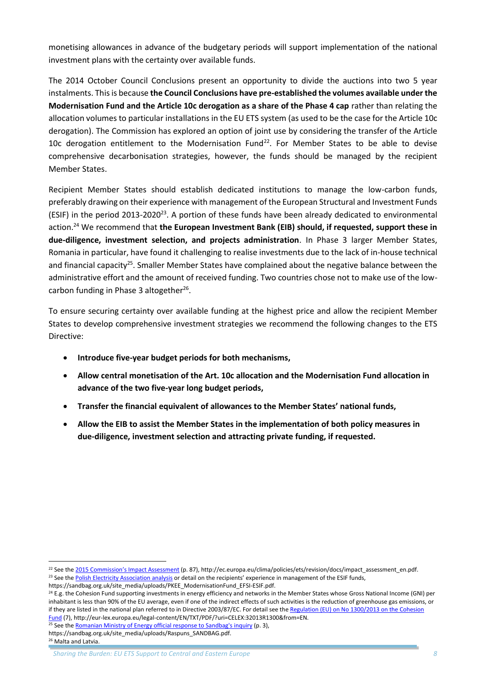monetising allowances in advance of the budgetary periods will support implementation of the national investment plans with the certainty over available funds.

The 2014 October Council Conclusions present an opportunity to divide the auctions into two 5 year instalments. This is because **the Council Conclusions have pre-established the volumes available under the Modernisation Fund and the Article 10c derogation as a share of the Phase 4 cap** rather than relating the allocation volumes to particular installations in the EU ETS system (as used to be the case for the Article 10c derogation). The Commission has explored an option of joint use by considering the transfer of the Article 10c derogation entitlement to the Modernisation Fund<sup>22</sup>. For Member States to be able to devise comprehensive decarbonisation strategies, however, the funds should be managed by the recipient Member States.

Recipient Member States should establish dedicated institutions to manage the low-carbon funds, preferably drawing on their experience with management of the European Structural and Investment Funds (ESIF) in the period 2013-2020<sup>23</sup>. A portion of these funds have been already dedicated to environmental action. <sup>24</sup> We recommend that **the European Investment Bank (EIB) should, if requested, support these in due-diligence, investment selection, and projects administration**. In Phase 3 larger Member States, Romania in particular, have found it challenging to realise investments due to the lack of in-house technical and financial capacity<sup>25</sup>. Smaller Member States have complained about the negative balance between the administrative effort and the amount of received funding. Two countries chose not to make use of the lowcarbon funding in Phase 3 altogether<sup>26</sup>.

To ensure securing certainty over available funding at the highest price and allow the recipient Member States to develop comprehensive investment strategies we recommend the following changes to the ETS Directive:

- **Introduce five-year budget periods for both mechanisms,**
- **Allow central monetisation of the Art. 10c allocation and the Modernisation Fund allocation in advance of the two five-year long budget periods,**
- **Transfer the financial equivalent of allowances to the Member States' national funds,**
- **Allow the EIB to assist the Member States in the implementation of both policy measures in due-diligence, investment selection and attracting private funding, if requested.**

<sup>&</sup>lt;sup>22</sup> See the [2015 Commission's Impact Assessment](http://ec.europa.eu/clima/policies/ets/revision/docs/impact_assessment_en.pdf) (p. 87), http://ec.europa.eu/clima/policies/ets/revision/docs/impact\_assessment\_en.pdf.

<sup>&</sup>lt;sup>23</sup> See th[e Polish Electricity Association analysis](https://sandbag.org.uk/site_media/uploads/PKEE_ModernisationFund_EFSI-ESIF.pdf) or detail on the recipients' experience in management of the ESIF funds,

https://sandbag.org.uk/site\_media/uploads/PKEE\_ModernisationFund\_EFSI-ESIF.pdf.

<sup>&</sup>lt;sup>24</sup> E.g. the Cohesion Fund supporting investments in energy efficiency and networks in the Member States whose Gross National Income (GNI) per inhabitant is less than 90% of the EU average, even if one of the indirect effects of such activities is the reduction of greenhouse gas emissions, or if they are listed in the national plan referred to in Directive 2003/87/EC. For detail see th[e Regulation \(EU\) on No 1300/2013 on the Cohesion](http://eur-lex.europa.eu/legal-content/EN/TXT/PDF/?uri=CELEX:32013R1300&from=EN)  [Fund](http://eur-lex.europa.eu/legal-content/EN/TXT/PDF/?uri=CELEX:32013R1300&from=EN) (7), http://eur-lex.europa.eu/legal-content/EN/TXT/PDF/?uri=CELEX:32013R1300&from=EN.

<sup>&</sup>lt;sup>25</sup> See th[e Romanian Ministry of Energy official response to Sandbag's](https://sandbag.org.uk/site_media/uploads/Raspuns_SANDBAG.pdf) inquiry (p. 3),

https://sandbag.org.uk/site\_media/uploads/Raspuns\_SANDBAG.pdf. <sup>26</sup> Malta and Latvia.

*Sharing the Burden: EU ETS Support to Central and Eastern Europe 8*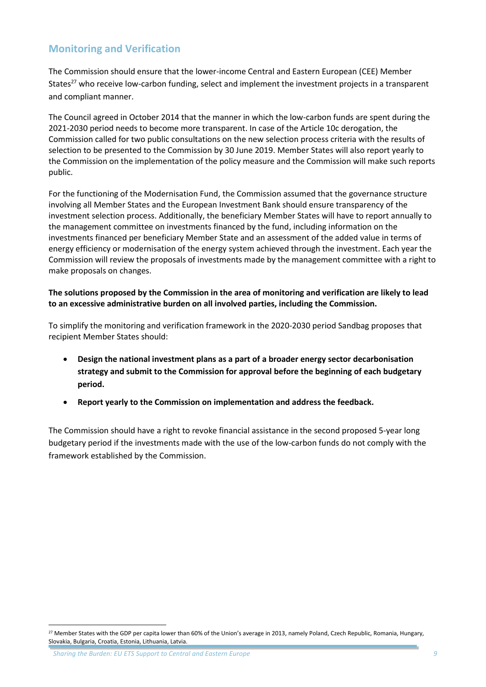# **Monitoring and Verification**

The Commission should ensure that the lower-income Central and Eastern European (CEE) Member States<sup>27</sup> who receive low-carbon funding, select and implement the investment projects in a transparent and compliant manner.

The Council agreed in October 2014 that the manner in which the low-carbon funds are spent during the 2021-2030 period needs to become more transparent. In case of the Article 10c derogation, the Commission called for two public consultations on the new selection process criteria with the results of selection to be presented to the Commission by 30 June 2019. Member States will also report yearly to the Commission on the implementation of the policy measure and the Commission will make such reports public.

For the functioning of the Modernisation Fund, the Commission assumed that the governance structure involving all Member States and the European Investment Bank should ensure transparency of the investment selection process. Additionally, the beneficiary Member States will have to report annually to the management committee on investments financed by the fund, including information on the investments financed per beneficiary Member State and an assessment of the added value in terms of energy efficiency or modernisation of the energy system achieved through the investment. Each year the Commission will review the proposals of investments made by the management committee with a right to make proposals on changes.

**The solutions proposed by the Commission in the area of monitoring and verification are likely to lead to an excessive administrative burden on all involved parties, including the Commission.**

To simplify the monitoring and verification framework in the 2020-2030 period Sandbag proposes that recipient Member States should:

- **Design the national investment plans as a part of a broader energy sector decarbonisation strategy and submit to the Commission for approval before the beginning of each budgetary period.**
- **Report yearly to the Commission on implementation and address the feedback.**

The Commission should have a right to revoke financial assistance in the second proposed 5-year long budgetary period if the investments made with the use of the low-carbon funds do not comply with the framework established by the Commission.

<sup>&</sup>lt;sup>27</sup> Member States with the GDP per capita lower than 60% of the Union's average in 2013, namely Poland, Czech Republic, Romania, Hungary, Slovakia, Bulgaria, Croatia, Estonia, Lithuania, Latvia.

*Sharing the Burden: EU ETS Support to Central and Eastern Europe 9*